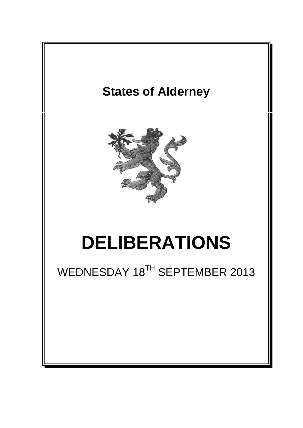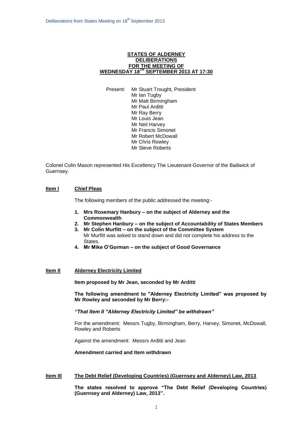### **STATES OF ALDERNEY DELIBERATIONS FOR THE MEETING OF WEDNESDAY 18TH SEPTEMBER 2013 AT 17:30**

Present: Mr Stuart Trought, President Mr Ian Tugby Mr Matt Birmingham Mr Paul Arditti Mr Ray Berry Mr Louis Jean Mr Neil Harvey Mr Francis Simonet Mr Robert McDowall Mr Chris Rowley Mr Steve Roberts

Colonel Colin Mason represented His Excellency The Lieutenant-Governor of the Bailiwick of Guernsey.

## **Item l Chief Pleas**

The following members of the public addressed the meeting:-

- **1. Mrs Rosemary Hanbury – on the subject of Alderney and the Commonwealth**
- **2. Mr Stephen Hanbury – on the subject of Accountability of States Members**
- **3. Mr Colin Murfitt – on the subject of the Committee System** Mr Murfitt was asked to stand down and did not complete his address to the States.
- **4. Mr Mike O'Gorman – on the subject of Good Governance**

## **Item Il Alderney Electricity Limited**

**Item proposed by Mr Jean, seconded by Mr Arditti**

**The following amendment to "Alderney Electricity Limited" was proposed by Mr Rowley and seconded by Mr Berry:-**

*"That Item II "Alderney Electricity Limited" be withdrawn"*

For the amendment: Messrs Tugby, Birmingham, Berry, Harvey, Simonet, McDowall, Rowley and Roberts

Against the amendment: Messrs Arditti and Jean

**Amendment carried and Item withdrawn**

#### **Item IIl The Debt Relief (Developing Countries) (Guernsey and Alderney) Law, 2013**

**The states resolved to approve "The Debt Relief (Developing Countries) (Guernsey and Alderney) Law, 2013".**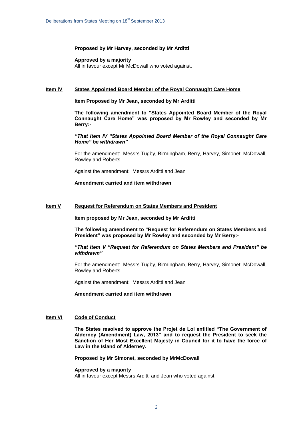#### **Proposed by Mr Harvey, seconded by Mr Arditti**

## **Approved by a majority**

All in favour except Mr McDowall who voted against.

#### **Item lV States Appointed Board Member of the Royal Connaught Care Home**

#### **Item Proposed by Mr Jean, seconded by Mr Arditti**

**The following amendment to "States Appointed Board Member of the Royal Connaught Care Home" was proposed by Mr Rowley and seconded by Mr Berry:-**

## *"That Item IV "States Appointed Board Member of the Royal Connaught Care Home" be withdrawn"*

For the amendment: Messrs Tugby, Birmingham, Berry, Harvey, Simonet, McDowall, Rowley and Roberts

Against the amendment: Messrs Arditti and Jean

### **Amendment carried and item withdrawn**

#### **Item V Request for Referendum on States Members and President**

**Item proposed by Mr Jean, seconded by Mr Arditti**

**The following amendment to "Request for Referendum on States Members and President" was proposed by Mr Rowley and seconded by Mr Berry:-**

#### *"That Item V "Request for Referendum on States Members and President" be withdrawn"*

For the amendment: Messrs Tugby, Birmingham, Berry, Harvey, Simonet, McDowall, Rowley and Roberts

Against the amendment: Messrs Arditti and Jean

#### **Amendment carried and item withdrawn**

### **Item VI Code of Conduct**

**The States resolved to approve the Projet de Loi entitled "The Government of Alderney (Amendment) Law, 2013" and to request the President to seek the Sanction of Her Most Excellent Majesty in Council for it to have the force of Law in the Island of Alderney.**

## **Proposed by Mr Simonet, seconded by MrMcDowall**

## **Approved by a majority** All in favour except Messrs Arditti and Jean who voted against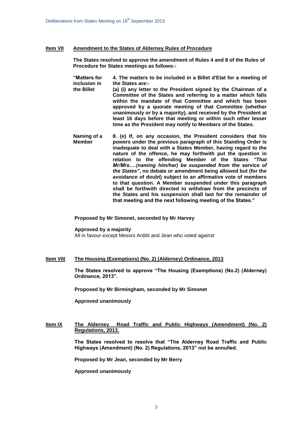#### **Item VII Amendment to the States of Alderney Rules of Procedure**

**The States resolved to approve the amendment of Rules 4 and 8 of the Rules of Procedure for States meetings as follows:-**

**"Matters for inclusion in the Billet 4. The matters to be included in a Billet d'Etat for a meeting of the States are:- (a) (i) any letter to the President signed by the Chairman of a Committee of the States and referring to a matter which falls within the mandate of that Committee and which has been approved by a quorate meeting of that Committee (whether unanimously or by a majority), and received by the President at least 16 days before that meeting or within such other lesser time as the President may notify to Members of the States.**

**Naming of a Member 8. (e) If, on any occasion, the President considers that his powers under the previous paragraph of this Standing Order is inadequate to deal with a States Member, having regard to the nature of the offence, he may forthwith put the question in relation to the offending Member of the States** *"That Mr/Mrs….(naming him/her) be suspended from the service of the States"***, no debate or amendment being allowed but (for the avoidance of doubt) subject to an affirmative vote of members to that question. A Member suspended under this paragraph shall be forthwith directed to withdraw from the precincts of the States and his suspension shall last for the remainder of that meeting and the next following meeting of the States."**

**Proposed by Mr Simonet, seconded by Mr Harvey**

#### **Approved by a majority**

All in favour except Messrs Arditti and Jean who voted against

### **Item VIII The Housing (Exemptions) (No. 2) (Alderney) Ordinance, 2013**

**The States resolved to approve "The Housing (Exemptions) (No.2) (Alderney) Ordinance, 2013".** 

**Proposed by Mr Birmingham, seconded by Mr Simonet**

**Approved unanimously**

## **Item IX The Alderney Road Traffic and Public Highways (Amendment) (No. 2) Regulations, 2013.**

**The States resolved to resolve that "The Alderney Road Traffic and Public Highways (Amendment) (No. 2) Regulations, 2013" not be annulled.**

**Proposed by Mr Jean, seconded by Mr Berry**

**Approved unanimously**